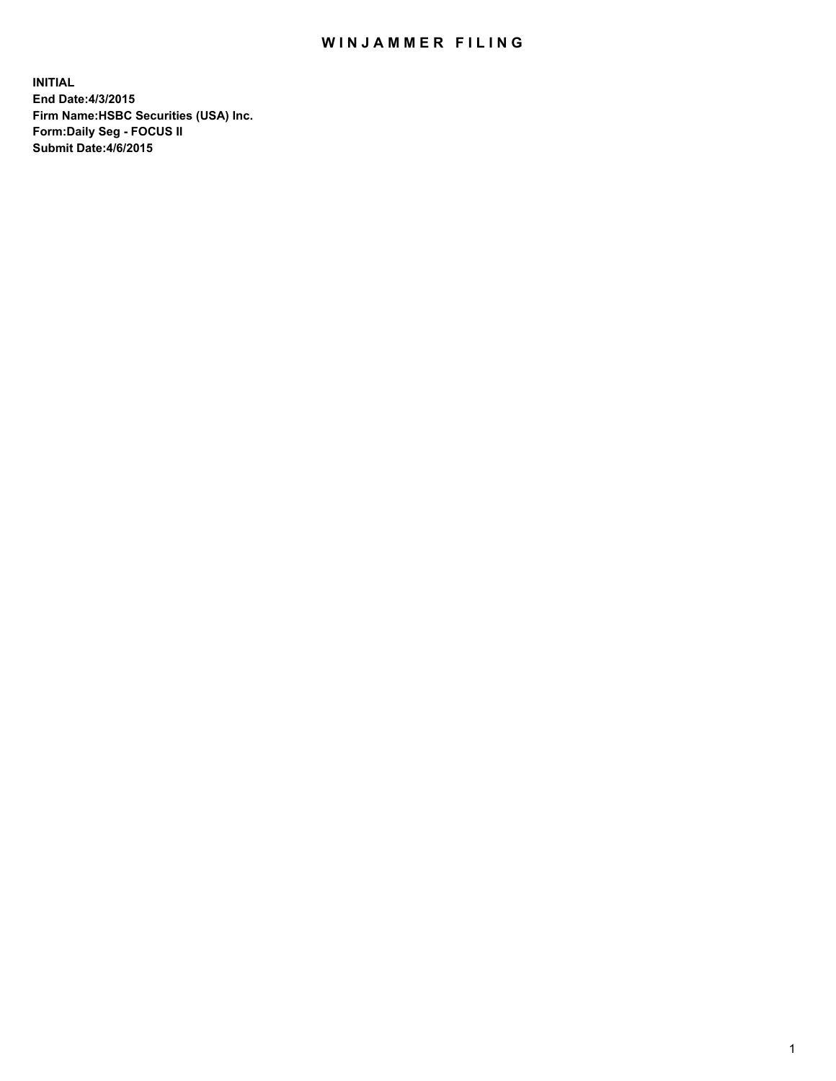## WIN JAMMER FILING

**INITIAL End Date:4/3/2015 Firm Name:HSBC Securities (USA) Inc. Form:Daily Seg - FOCUS II Submit Date:4/6/2015**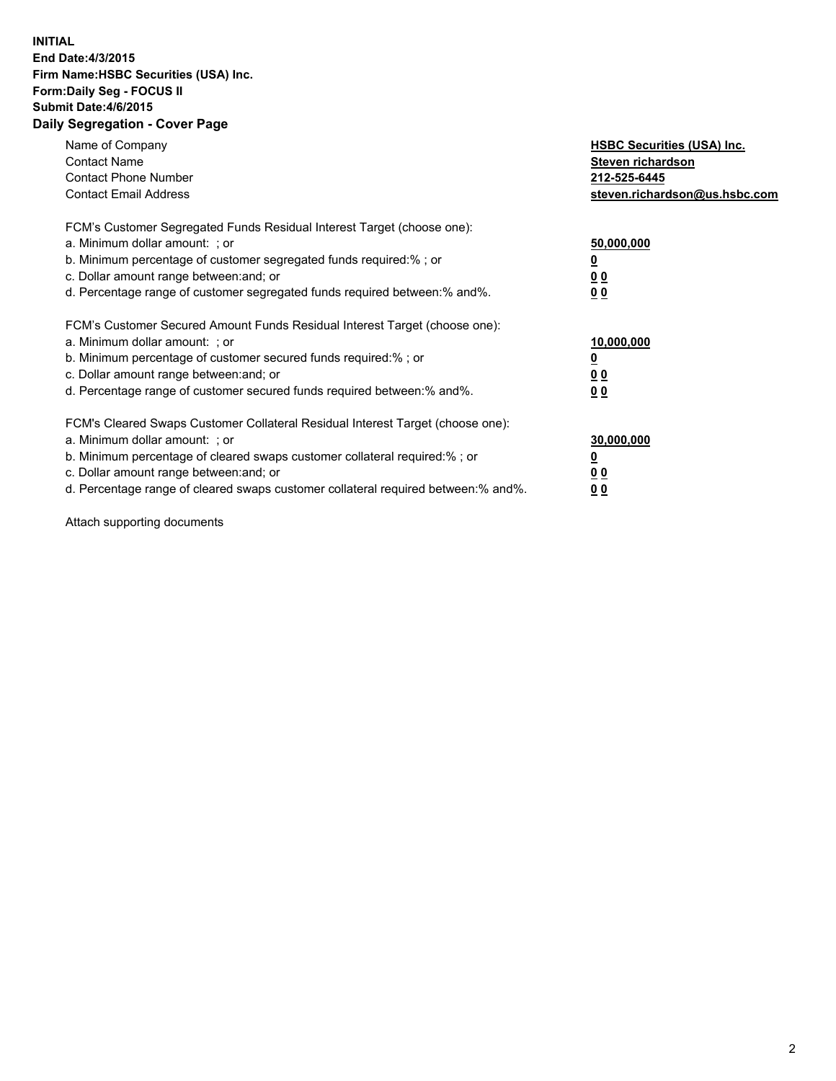## **INITIAL End Date:4/3/2015 Firm Name:HSBC Securities (USA) Inc. Form:Daily Seg - FOCUS II Submit Date:4/6/2015 Daily Segregation - Cover Page**

| Name of Company<br><b>Contact Name</b><br><b>Contact Phone Number</b><br><b>Contact Email Address</b>                                                                                                                                                                                                                         | <b>HSBC Securities (USA) Inc.</b><br>Steven richardson<br>212-525-6445<br>steven.richardson@us.hsbc.com |
|-------------------------------------------------------------------------------------------------------------------------------------------------------------------------------------------------------------------------------------------------------------------------------------------------------------------------------|---------------------------------------------------------------------------------------------------------|
| FCM's Customer Segregated Funds Residual Interest Target (choose one):<br>a. Minimum dollar amount: ; or<br>b. Minimum percentage of customer segregated funds required:% ; or<br>c. Dollar amount range between: and; or<br>d. Percentage range of customer segregated funds required between: % and %.                      | 50,000,000<br>0 <sub>0</sub><br>00                                                                      |
| FCM's Customer Secured Amount Funds Residual Interest Target (choose one):<br>a. Minimum dollar amount: ; or<br>b. Minimum percentage of customer secured funds required:%; or<br>c. Dollar amount range between: and; or<br>d. Percentage range of customer secured funds required between: % and %.                         | 10,000,000<br>00<br>00                                                                                  |
| FCM's Cleared Swaps Customer Collateral Residual Interest Target (choose one):<br>a. Minimum dollar amount: ; or<br>b. Minimum percentage of cleared swaps customer collateral required:%; or<br>c. Dollar amount range between: and; or<br>d. Percentage range of cleared swaps customer collateral required between:% and%. | 30,000,000<br>0 <sub>0</sub><br>00                                                                      |

Attach supporting documents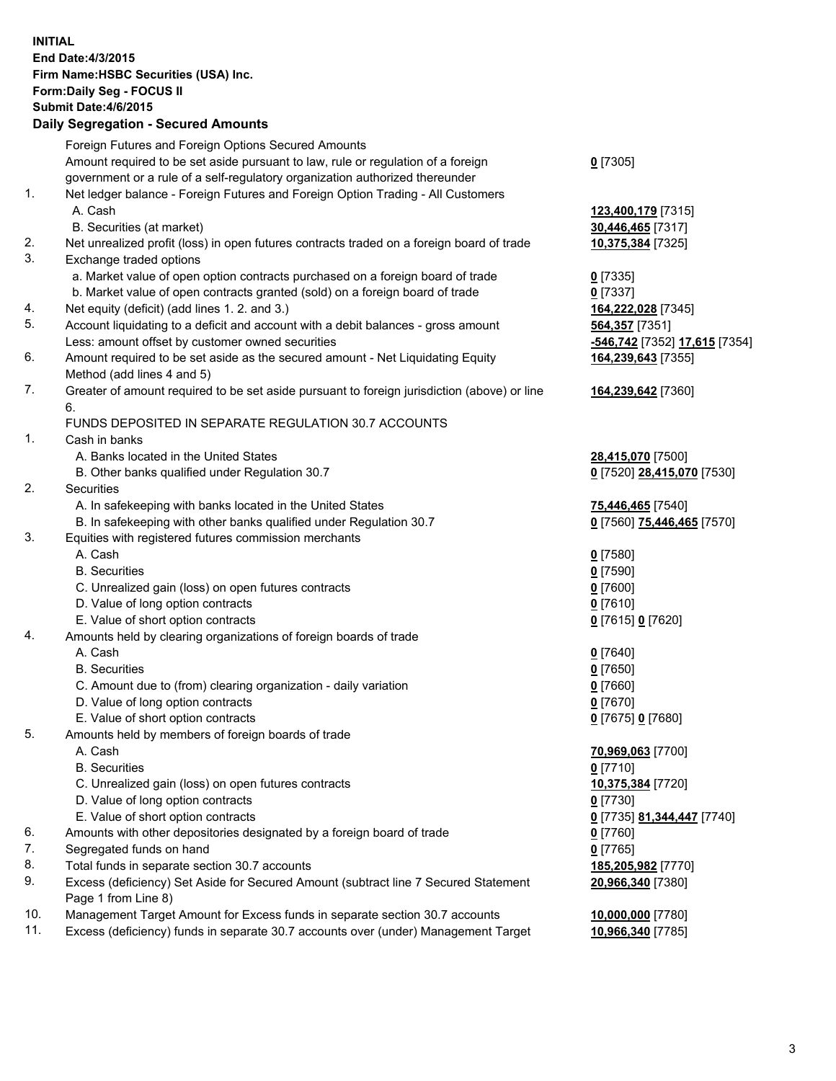**INITIAL End Date:4/3/2015 Firm Name:HSBC Securities (USA) Inc. Form:Daily Seg - FOCUS II Submit Date:4/6/2015 Daily Segregation - Secured Amounts** Foreign Futures and Foreign Options Secured Amounts Amount required to be set aside pursuant to law, rule or regulation of a foreign government or a rule of a self-regulatory organization authorized thereunder **0** [7305] 1. Net ledger balance - Foreign Futures and Foreign Option Trading - All Customers A. Cash **123,400,179** [7315] B. Securities (at market) **30,446,465** [7317] 2. Net unrealized profit (loss) in open futures contracts traded on a foreign board of trade **10,375,384** [7325] 3. Exchange traded options a. Market value of open option contracts purchased on a foreign board of trade **0** [7335] b. Market value of open contracts granted (sold) on a foreign board of trade **0** [7337] 4. Net equity (deficit) (add lines 1. 2. and 3.) **164,222,028** [7345] 5. Account liquidating to a deficit and account with a debit balances - gross amount **564,357** [7351] Less: amount offset by customer owned securities **-546,742** [7352] **17,615** [7354] 6. Amount required to be set aside as the secured amount - Net Liquidating Equity Method (add lines 4 and 5) **164,239,643** [7355] 7. Greater of amount required to be set aside pursuant to foreign jurisdiction (above) or line 6. **164,239,642** [7360] FUNDS DEPOSITED IN SEPARATE REGULATION 30.7 ACCOUNTS 1. Cash in banks A. Banks located in the United States **28,415,070** [7500] B. Other banks qualified under Regulation 30.7 **0** [7520] **28,415,070** [7530] 2. Securities A. In safekeeping with banks located in the United States **75,446,465** [7540] B. In safekeeping with other banks qualified under Regulation 30.7 **0** [7560] **75,446,465** [7570] 3. Equities with registered futures commission merchants A. Cash **0** [7580] B. Securities **0** [7590] C. Unrealized gain (loss) on open futures contracts **0** [7600] D. Value of long option contracts **0** [7610] E. Value of short option contracts **0** [7615] **0** [7620] 4. Amounts held by clearing organizations of foreign boards of trade A. Cash **0** [7640] B. Securities **0** [7650] C. Amount due to (from) clearing organization - daily variation **0** [7660] D. Value of long option contracts **0** [7670] E. Value of short option contracts **0** [7675] **0** [7680] 5. Amounts held by members of foreign boards of trade A. Cash **70,969,063** [7700] B. Securities **0** [7710] C. Unrealized gain (loss) on open futures contracts **10,375,384** [7720] D. Value of long option contracts **0** [7730] E. Value of short option contracts **0** [7735] **81,344,447** [7740] 6. Amounts with other depositories designated by a foreign board of trade **0** [7760] 7. Segregated funds on hand **0** [7765] 8. Total funds in separate section 30.7 accounts **185,205,982** [7770] 9. Excess (deficiency) Set Aside for Secured Amount (subtract line 7 Secured Statement Page 1 from Line 8) **20,966,340** [7380] 10. Management Target Amount for Excess funds in separate section 30.7 accounts **10,000,000** [7780] 11. Excess (deficiency) funds in separate 30.7 accounts over (under) Management Target **10,966,340** [7785]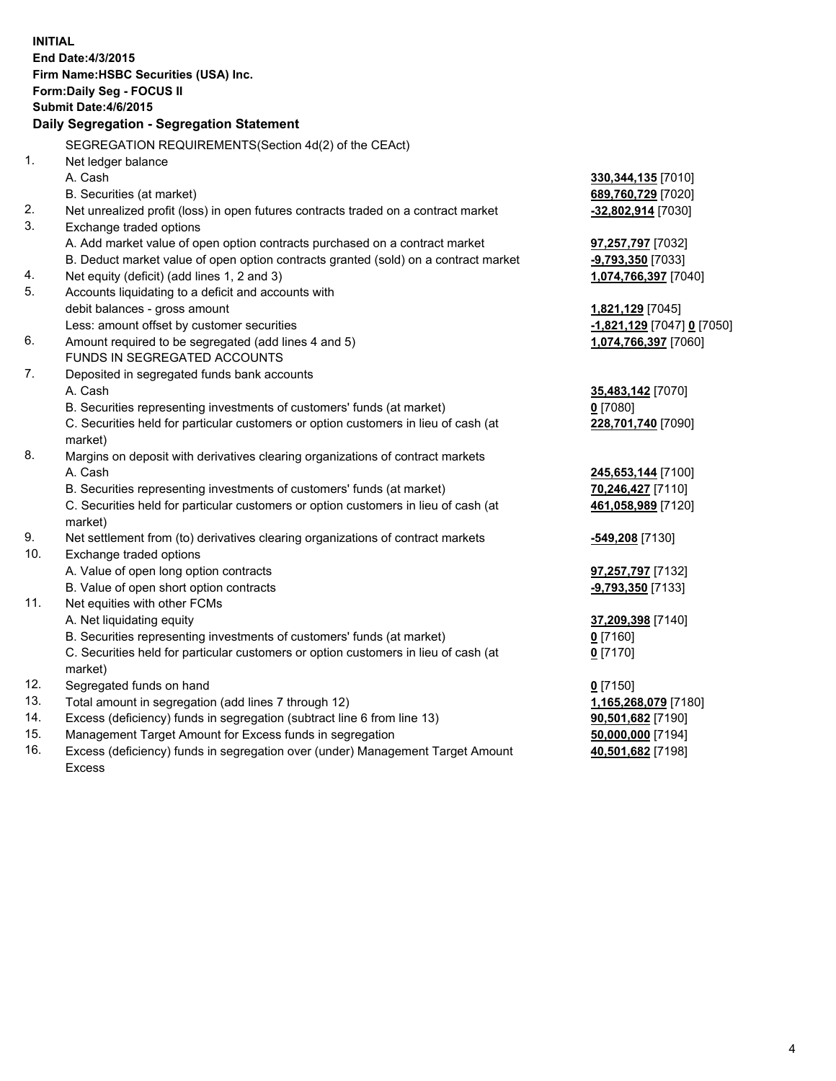| <b>INITIAL</b> | End Date: 4/3/2015<br>Firm Name: HSBC Securities (USA) Inc.<br>Form: Daily Seg - FOCUS II<br>Submit Date: 4/6/2015<br>Daily Segregation - Segregation Statement |                            |
|----------------|-----------------------------------------------------------------------------------------------------------------------------------------------------------------|----------------------------|
|                | SEGREGATION REQUIREMENTS(Section 4d(2) of the CEAct)                                                                                                            |                            |
| 1.             | Net ledger balance                                                                                                                                              |                            |
|                | A. Cash                                                                                                                                                         | 330, 344, 135 [7010]       |
|                | B. Securities (at market)                                                                                                                                       | 689,760,729 [7020]         |
| 2.             | Net unrealized profit (loss) in open futures contracts traded on a contract market                                                                              | $-32,802,914$ [7030]       |
| 3.             | Exchange traded options                                                                                                                                         |                            |
|                | A. Add market value of open option contracts purchased on a contract market                                                                                     | 97,257,797 [7032]          |
| 4.             | B. Deduct market value of open option contracts granted (sold) on a contract market                                                                             | $-9,793,350$ [7033]        |
| 5.             | Net equity (deficit) (add lines 1, 2 and 3)<br>Accounts liquidating to a deficit and accounts with                                                              | 1,074,766,397 [7040]       |
|                | debit balances - gross amount                                                                                                                                   | 1,821,129 [7045]           |
|                | Less: amount offset by customer securities                                                                                                                      | -1,821,129 [7047] 0 [7050] |
| 6.             | Amount required to be segregated (add lines 4 and 5)                                                                                                            | 1,074,766,397 [7060]       |
|                | FUNDS IN SEGREGATED ACCOUNTS                                                                                                                                    |                            |
| 7.             | Deposited in segregated funds bank accounts                                                                                                                     |                            |
|                | A. Cash                                                                                                                                                         | 35,483,142 [7070]          |
|                | B. Securities representing investments of customers' funds (at market)                                                                                          | $0$ [7080]                 |
|                | C. Securities held for particular customers or option customers in lieu of cash (at<br>market)                                                                  | 228,701,740 [7090]         |
| 8.             | Margins on deposit with derivatives clearing organizations of contract markets                                                                                  |                            |
|                | A. Cash                                                                                                                                                         | 245,653,144 [7100]         |
|                | B. Securities representing investments of customers' funds (at market)                                                                                          | 70,246,427 [7110]          |
|                | C. Securities held for particular customers or option customers in lieu of cash (at<br>market)                                                                  | 461,058,989 [7120]         |
| 9.             | Net settlement from (to) derivatives clearing organizations of contract markets                                                                                 | -549,208 [7130]            |
| 10.            | Exchange traded options                                                                                                                                         |                            |
|                | A. Value of open long option contracts                                                                                                                          | <b>97,257,797</b> [7132]   |
|                | B. Value of open short option contracts                                                                                                                         | -9,793,350 [7133]          |
| 11.            | Net equities with other FCMs                                                                                                                                    |                            |
|                | A. Net liquidating equity                                                                                                                                       | 37,209,398 [7140]          |
|                | B. Securities representing investments of customers' funds (at market)                                                                                          | $0$ [7160]                 |
|                | C. Securities held for particular customers or option customers in lieu of cash (at<br>market)                                                                  | 0 <sup>[7170]</sup>        |
| 12.            | Segregated funds on hand                                                                                                                                        | $0$ [7150]                 |
| 13.            | Total amount in segregation (add lines 7 through 12)                                                                                                            | 1,165,268,079 [7180]       |
| 14.            | Excess (deficiency) funds in segregation (subtract line 6 from line 13)                                                                                         | 90,501,682 [7190]          |
| 15.            | Management Target Amount for Excess funds in segregation                                                                                                        | 50,000,000 [7194]          |
| 16.            | Excess (deficiency) funds in segregation over (under) Management Target Amount<br>Excess                                                                        | 40,501,682 [7198]          |